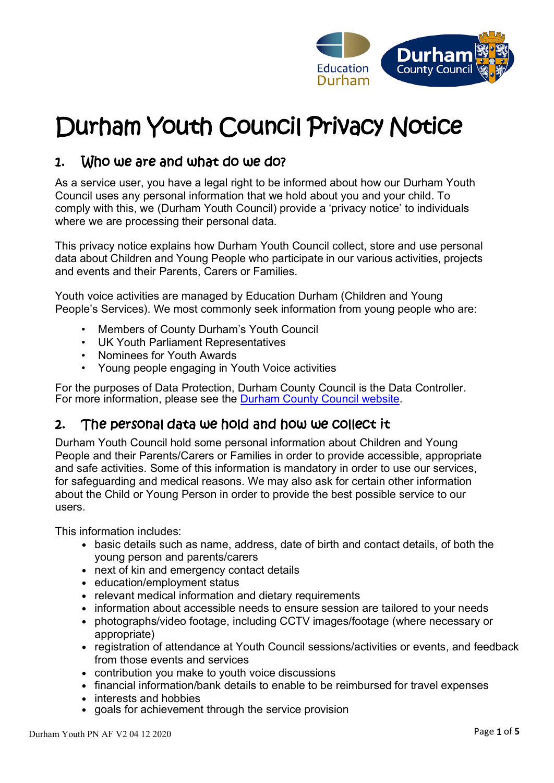

# Durham Youth Council Privacy Notice

# 1. Who we are and what do we do?

As a service user, you have a legal right to be informed about how our Durham Youth Council uses any personal information that we hold about you and your child. To comply with this, we (Durham Youth Council) provide a 'privacy notice' to individuals where we are processing their personal data.

This privacy notice explains how Durham Youth Council collect, store and use personal data about Children and Young People who participate in our various activities, projects and events and their Parents, Carers or Families.

Youth voice activities are managed by Education Durham (Children and Young People's Services). We most commonly seek information from young people who are:

- Members of County Durham's Youth Council
- UK Youth Parliament Representatives
- Nominees for Youth Awards
- Young people engaging in Youth Voice activities

For the purposes of Data Protection, Durham County Council is the Data Controller. For more information, please see the [Durham County Council website.](https://www.durham.gov.uk/youthvoice)

# 2. The personal data we hold and how we collect it

Durham Youth Council hold some personal information about Children and Young People and their Parents/Carers or Families in order to provide accessible, appropriate and safe activities. Some of this information is mandatory in order to use our services, for safeguarding and medical reasons. We may also ask for certain other information about the Child or Young Person in order to provide the best possible service to our users.

This information includes:

- basic details such as name, address, date of birth and contact details, of both the young person and parents/carers
- next of kin and emergency contact details
- education/employment status
- relevant medical information and dietary requirements
- information about accessible needs to ensure session are tailored to your needs
- photographs/video footage, including CCTV images/footage (where necessary or appropriate)
- registration of attendance at Youth Council sessions/activities or events, and feedback from those events and services
- contribution you make to youth voice discussions
- financial information/bank details to enable to be reimbursed for travel expenses
- interests and hobbies
- goals for achievement through the service provision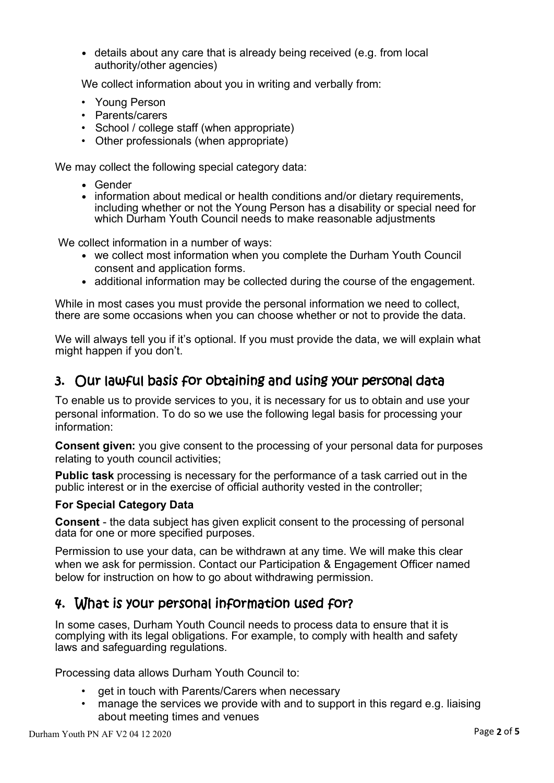• details about any care that is already being received (e.g. from local authority/other agencies)

We collect information about you in writing and verbally from:

- Young Person
- Parents/carers
- School / college staff (when appropriate)
- Other professionals (when appropriate)

We may collect the following special category data:

- Gender
- information about medical or health conditions and/or dietary requirements, including whether or not the Young Person has a disability or special need for which Durham Youth Council needs to make reasonable adjustments

We collect information in a number of ways:

- we collect most information when you complete the Durham Youth Council consent and application forms.
- additional information may be collected during the course of the engagement.

While in most cases you must provide the personal information we need to collect, there are some occasions when you can choose whether or not to provide the data.

We will always tell you if it's optional. If you must provide the data, we will explain what might happen if you don't.

#### 3. Our lawful basis for obtaining and using your personal data

To enable us to provide services to you, it is necessary for us to obtain and use your personal information. To do so we use the following legal basis for processing your information:

**Consent given:** you give consent to the processing of your personal data for purposes relating to youth council activities;

**Public task** processing is necessary for the performance of a task carried out in the public interest or in the exercise of official authority vested in the controller;

#### **For Special Category Data**

**Consent** - the data subject has given explicit consent to the processing of personal data for one or more specified purposes.

Permission to use your data, can be withdrawn at any time. We will make this clear when we ask for permission. Contact our Participation & Engagement Officer named below for instruction on how to go about withdrawing permission.

# 4. What is your personal information used for?

In some cases, Durham Youth Council needs to process data to ensure that it is complying with its legal obligations. For example, to comply with health and safety laws and safeguarding regulations.

Processing data allows Durham Youth Council to:

- get in touch with Parents/Carers when necessary
- manage the services we provide with and to support in this regard e.g. liaising about meeting times and venues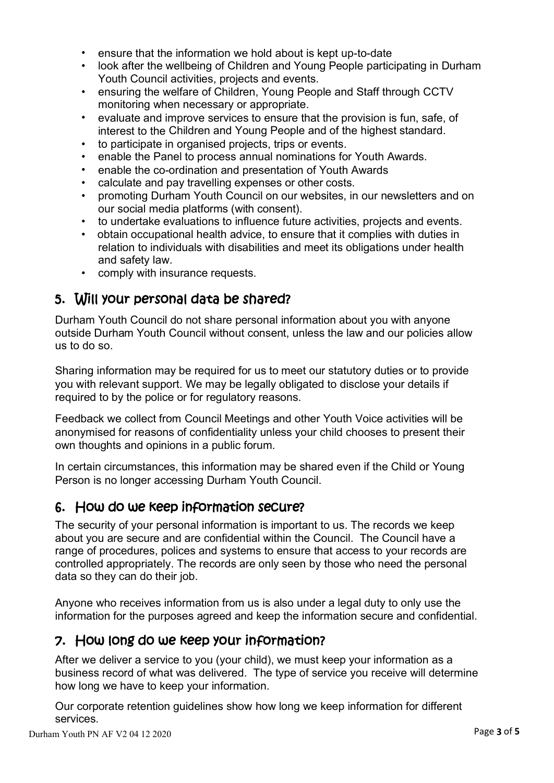- ensure that the information we hold about is kept up-to-date
- look after the wellbeing of Children and Young People participating in Durham Youth Council activities, projects and events.
- ensuring the welfare of Children, Young People and Staff through CCTV monitoring when necessary or appropriate.
- evaluate and improve services to ensure that the provision is fun, safe, of interest to the Children and Young People and of the highest standard.
- to participate in organised projects, trips or events.
- enable the Panel to process annual nominations for Youth Awards.
- enable the co-ordination and presentation of Youth Awards
- calculate and pay travelling expenses or other costs.
- promoting Durham Youth Council on our websites, in our newsletters and on our social media platforms (with consent).
- to undertake evaluations to influence future activities, projects and events.
- obtain occupational health advice, to ensure that it complies with duties in relation to individuals with disabilities and meet its obligations under health and safety law.
- comply with insurance requests.

# 5. Will your personal data be shared?

Durham Youth Council do not share personal information about you with anyone outside Durham Youth Council without consent, unless the law and our policies allow us to do so.

Sharing information may be required for us to meet our statutory duties or to provide you with relevant support. We may be legally obligated to disclose your details if required to by the police or for regulatory reasons.

Feedback we collect from Council Meetings and other Youth Voice activities will be anonymised for reasons of confidentiality unless your child chooses to present their own thoughts and opinions in a public forum.

In certain circumstances, this information may be shared even if the Child or Young Person is no longer accessing Durham Youth Council.

#### 6. How do we keep information secure?

The security of your personal information is important to us. The records we keep about you are secure and are confidential within the Council. The Council have a range of procedures, polices and systems to ensure that access to your records are controlled appropriately. The records are only seen by those who need the personal data so they can do their job.

Anyone who receives information from us is also under a legal duty to only use the information for the purposes agreed and keep the information secure and confidential.

# 7. How long do we keep your information?

After we deliver a service to you (your child), we must keep your information as a business record of what was delivered. The type of service you receive will determine how long we have to keep your information.

Our corporate retention guidelines show how long we keep information for different services.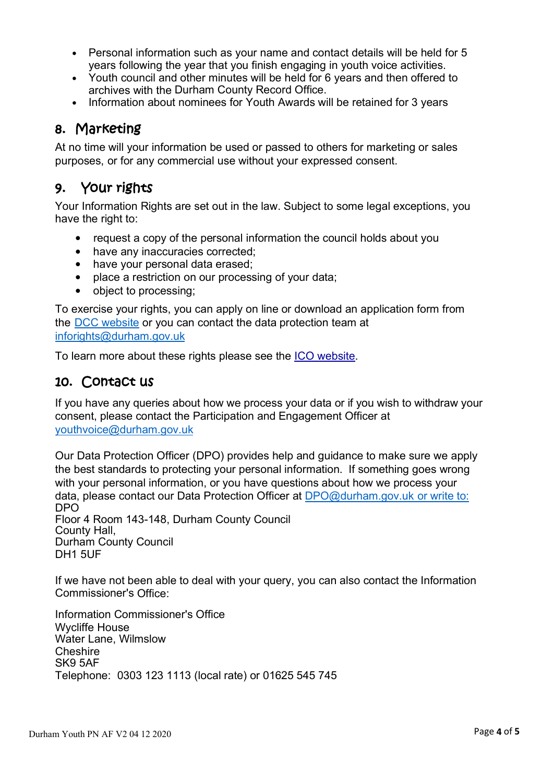- Personal information such as your name and contact details will be held for 5 years following the year that you finish engaging in youth voice activities.
- Youth council and other minutes will be held for 6 years and then offered to archives with the Durham County Record Office.
- Information about nominees for Youth Awards will be retained for 3 years

# 8. Marketing

At no time will your information be used or passed to others for marketing or sales purposes, or for any commercial use without your expressed consent.

# 9. Your rights

Your Information Rights are set out in the law. Subject to some legal exceptions, you have the right to:

- request a copy of the personal information the council holds about you
- have any inaccuracies corrected;
- have your personal data erased;
- place a restriction on our processing of your data:
- object to processing;

To exercise your rights, you can apply on line or download an application form from the [DCC website](http://teams.durham.gov.uk/sites/ace/performanceandplanning/IGG/teams.durham.gov.uksitesaceperformanceandplanningGDPR/Shared%20Documents/Privacy%20Notices/AHS/Final%20Versions/:%20http:/www.durham.gov.uk/inforights) or you can contact the data protection team at [inforights@durham.gov.uk](mailto:inforights@durham.gov.uk)

To learn more about these rights please see the [ICO website.](https://ico.org.uk/for-organisations/guide-to-the-general-data-protection-regulation-gdpr/individual-rights/)

#### 10. Contact us

If you have any queries about how we process your data or if you wish to withdraw your consent, please contact the Participation and Engagement Officer at [youthvoice@durham.gov.uk](mailto:youthvoice@durham.gov.uk)

Our Data Protection Officer (DPO) provides help and guidance to make sure we apply the best standards to protecting your personal information. If something goes wrong with your personal information, or you have questions about how we process your data, please contact our Data Protection Officer at [DPO@durham.gov.uk o](mailto:DPO@durham.gov.uk)r write to: DPO

Floor 4 Room 143-148, Durham County Council **Durham County Council** DH1 5UF

If we have not been able to deal with your query, you can also contact the Information Commissioner's Office:

Information Commissioner's Office Wycliffe House Water Lane, Wilmslow **Cheshire** SK9 5AF Telephone: 0303 123 1113 (local rate) or 01625 545 745